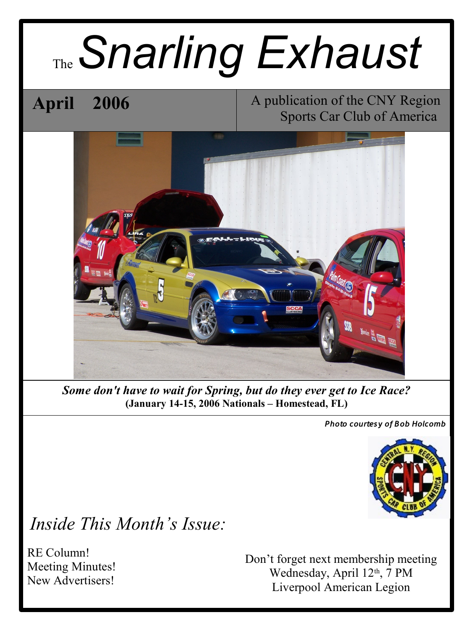# The*Snarling Exhaust*

## **April 2006**

A publication of the CNY Region Sports Car Club of America



*Some don't have to wait for Spring, but do they ever get to Ice Race?* **(January 14-15, 2006 Nationals – Homestead, FL)**

*Photo courtesy of Bob Holcomb*



### *Inside This Month's Issue:*

RE Column! Meeting Minutes! New Advertisers!

Don't forget next membership meeting Wednesday, April 12<sup>th</sup>, 7 PM Liverpool American Legion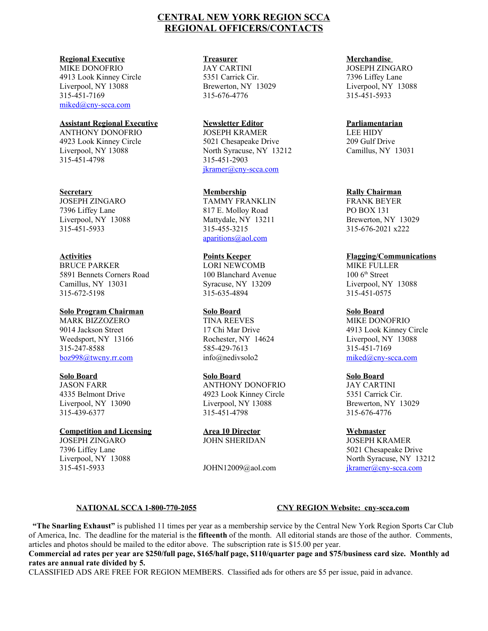#### **CENTRAL NEW YORK REGION SCCA REGIONAL OFFICERS/CONTACTS**

#### **Regional Executive**

MIKE DONOFRIO 4913 Look Kinney Circle Liverpool, NY 13088 315-451-7169 [miked@cny-scca.com](mailto:miked@cny-scca.com)

#### **Assistant Regional Executive**

ANTHONY DONOFRIO 4923 Look Kinney Circle Liverpool, NY 13088 315-451-4798

#### **Secretary**

JOSEPH ZINGARO 7396 Liffey Lane Liverpool, NY 13088 315-451-5933

#### **Activities**

BRUCE PARKER 5891 Bennets Corners Road Camillus, NY 13031 315-672-5198

#### **Solo Program Chairman**

MARK BIZZOZERO 9014 Jackson Street Weedsport, NY 13166 315-247-8588 [boz998@twcny.rr.com](mailto:boz998@twcny.rr.com)

#### **Solo Board**

JASON FARR 4335 Belmont Drive Liverpool, NY 13090 315-439-6377

#### **Competition and Licensing**

JOSEPH ZINGARO 7396 Liffey Lane Liverpool, NY 13088 315-451-5933

#### **Treasurer**

JAY CARTINI 5351 Carrick Cir. Brewerton, NY 13029 315-676-4776

#### **Newsletter Editor**

JOSEPH KRAMER 5021 Chesapeake Drive North Syracuse, NY 13212 315-451-2903 [jkramer@cny-scca.com](mailto:jkramer@cny-scca.com)

#### **Membership**

TAMMY FRANKLIN 817 E. Molloy Road Mattydale, NY 13211 315-455-3215 [aparitions@aol.com](mailto:aparitions@aol.com)

#### **Points Keeper**

LORI NEWCOMB 100 Blanchard Avenue Syracuse, NY 13209 315-635-4894

#### **Solo Board**

TINA REEVES 17 Chi Mar Drive Rochester, NY 14624 585-429-7613 info@nedivsolo2

#### **Solo Board**

ANTHONY DONOFRIO 4923 Look Kinney Circle Liverpool, NY 13088 315-451-4798

**Area 10 Director** JOHN SHERIDAN

JOHN12009@aol.com

#### **Merchandise**

JOSEPH ZINGARO 7396 Liffey Lane Liverpool, NY 13088 315-451-5933

#### **Parliamentarian**

LEE HIDY 209 Gulf Drive Camillus, NY 13031

#### **Rally Chairman**

FRANK BEYER PO BOX 131 Brewerton, NY 13029 315-676-2021 x222

#### **Flagging/Communications**

MIKE FULLER 100 6<sup>th</sup> Street Liverpool, NY 13088 315-451-0575

#### **Solo Board**

MIKE DONOFRIO 4913 Look Kinney Circle Liverpool, NY 13088 315-451-7169 [miked@cny-scca.com](mailto:miked@cny-scca.com)

#### **Solo Board**

JAY CARTINI 5351 Carrick Cir. Brewerton, NY 13029 315-676-4776

#### **Webmaster**

JOSEPH KRAMER 5021 Chesapeake Drive North Syracuse, NY 13212 [jkramer@cny-scca.com](mailto:jkramer@cny-scca.com)

#### **NATIONAL SCCA 1-800-770-2055 CNY REGION Website: cny-scca.com**

 **"The Snarling Exhaust"** is published 11 times per year as a membership service by the Central New York Region Sports Car Club of America, Inc. The deadline for the material is the **fifteenth** of the month. All editorial stands are those of the author. Comments, articles and photos should be mailed to the editor above. The subscription rate is \$15.00 per year.

#### **Commercial ad rates per year are \$250/full page, \$165/half page, \$110/quarter page and \$75/business card size. Monthly ad rates are annual rate divided by 5.**

CLASSIFIED ADS ARE FREE FOR REGION MEMBERS. Classified ads for others are \$5 per issue, paid in advance.